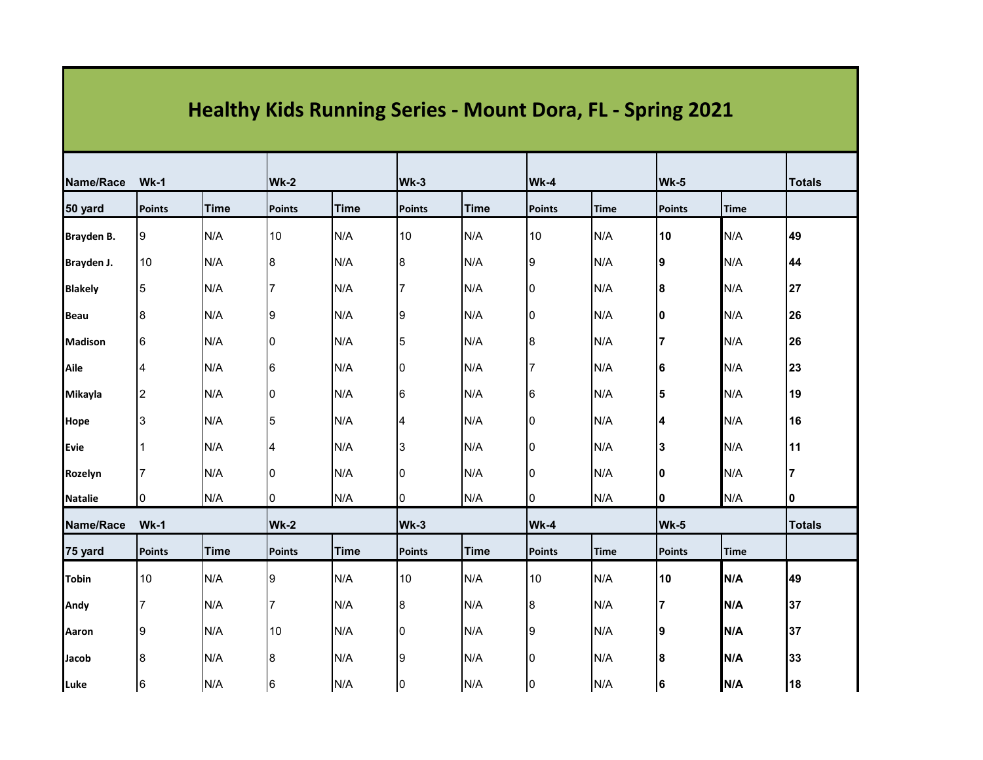| <b>Healthy Kids Running Series - Mount Dora, FL - Spring 2021</b> |                 |             |               |             |               |             |               |             |               |               |               |
|-------------------------------------------------------------------|-----------------|-------------|---------------|-------------|---------------|-------------|---------------|-------------|---------------|---------------|---------------|
| Name/Race<br>$Wk-1$                                               |                 | $Wk-2$      |               | Wk-3        |               | Wk-4        |               | Wk-5        |               | <b>Totals</b> |               |
| 50 yard                                                           | <b>Points</b>   | <b>Time</b> | <b>Points</b> | <b>Time</b> | <b>Points</b> | <b>Time</b> | <b>Points</b> | <b>Time</b> | <b>Points</b> | <b>Time</b>   |               |
| Brayden B.                                                        | 9               | N/A         | 10            | N/A         | 10            | N/A         | 10            | N/A         | 10            | N/A           | 49            |
| Brayden J.                                                        | 10              | N/A         | 8             | N/A         | 8             | N/A         | 9             | N/A         | 9             | N/A           | 44            |
| <b>Blakely</b>                                                    | 5               | N/A         |               | N/A         | 7             | N/A         | 0             | N/A         | 8             | N/A           | 27            |
| <b>Beau</b>                                                       | 8               | N/A         | Ι9            | N/A         | 9             | N/A         | 10            | N/A         | 10            | N/A           | 26            |
| <b>Madison</b>                                                    | $6\phantom{.}6$ | N/A         | 0             | N/A         | 5             | N/A         | 8             | N/A         |               | N/A           | 26            |
| Aile                                                              | 4               | N/A         | 6             | N/A         | 0             | N/A         |               | N/A         | 6             | N/A           | 23            |
| Mikayla                                                           | 2               | N/A         | 0             | N/A         | $\,6$         | N/A         | 6             | N/A         |               | N/A           | 19            |
| Hope                                                              | 3               | N/A         | 5             | N/A         | 4             | N/A         | 0             | N/A         |               | N/A           | 16            |
| Evie                                                              | 1               | N/A         | 4             | N/A         | 3             | N/A         | 10            | N/A         | 13            | N/A           | 11            |
| Rozelyn                                                           | 7               | N/A         | 0             | N/A         | 0             | N/A         | 10            | N/A         | 10            | N/A           |               |
| <b>Natalie</b>                                                    | 0               | N/A         | 0             | N/A         | 0             | N/A         | 0             | N/A         | 10            | N/A           | 10            |
| Name/Race                                                         | $Wk-1$          |             | Wk-2          |             | Wk-3          |             | Wk-4          |             | Wk-5          |               | <b>Totals</b> |
| 75 yard                                                           | <b>Points</b>   | <b>Time</b> | <b>Points</b> | <b>Time</b> | <b>Points</b> | <b>Time</b> | <b>Points</b> | <b>Time</b> | <b>Points</b> | <b>Time</b>   |               |
| <b>Tobin</b>                                                      | 10              | N/A         | 9             | N/A         | 10            | N/A         | 10            | N/A         | 10            | N/A           | 49            |
| Andy                                                              | $\overline{7}$  | N/A         | 7             | N/A         | $\bf 8$       | N/A         | 8             | N/A         |               | N/A           | 37            |
| Aaron                                                             | 9               | N/A         | 10            | N/A         | 0             | N/A         | 9             | N/A         | 19            | N/A           | 37            |
| Jacob                                                             | 8               | N/A         | 8             | N/A         | 9             | N/A         | ۱O            | N/A         | 18            | N/A           | 33            |
| Luke                                                              | 16              | N/A         | 6             | N/A         | 10            | N/A         | 10            | N/A         | 16            | N/A           | 18            |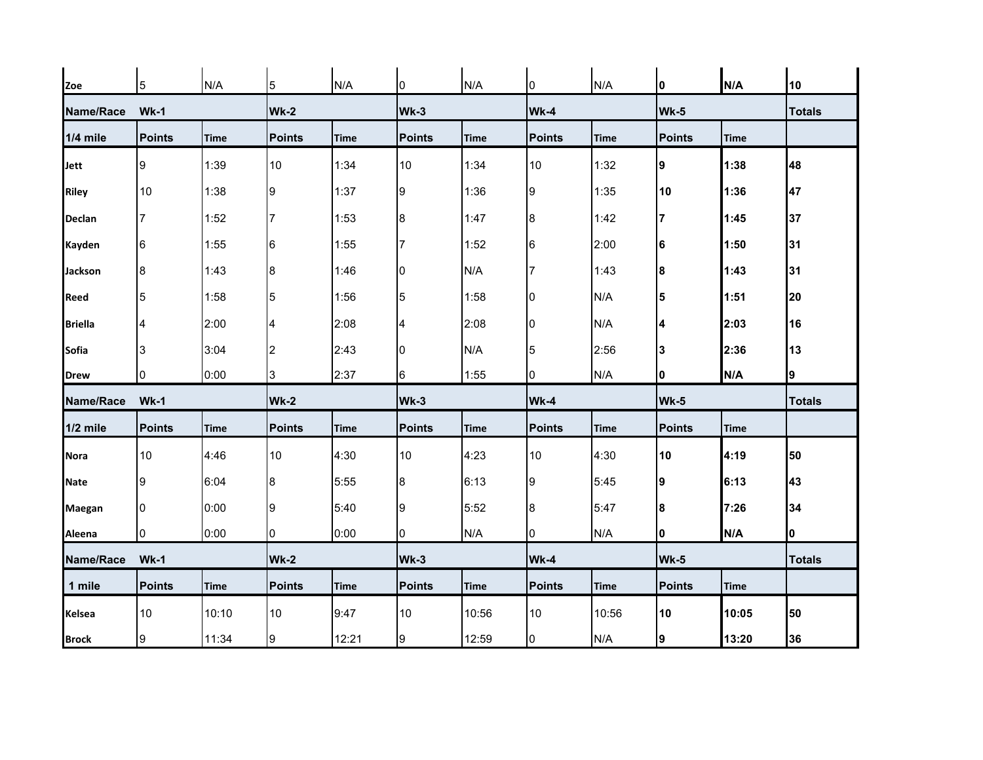| Zoe            | 5             | N/A         | 5              | N/A         | 0             | N/A         | 0             | N/A         | 10            | N/A         | 10            |
|----------------|---------------|-------------|----------------|-------------|---------------|-------------|---------------|-------------|---------------|-------------|---------------|
| Name/Race      | $Wk-1$        |             | <b>Wk-2</b>    |             | Wk-3          |             | Wk-4          |             | Wk-5          |             | <b>Totals</b> |
| 1/4 mile       | <b>Points</b> | <b>Time</b> | <b>Points</b>  | <b>Time</b> | <b>Points</b> | <b>Time</b> | <b>Points</b> | Time        | <b>Points</b> | <b>Time</b> |               |
| Jett           | 9             | 1:39        | 10             | 1:34        | 10            | 1:34        | 10            | 1:32        | 9             | 1:38        | 48            |
| <b>Riley</b>   | 10            | 1:38        | 9              | 1:37        | 9             | 1:36        | 9             | 1:35        | 10            | 1:36        | 47            |
| Declan         | 7             | 1:52        | 17             | 1:53        | 8             | 1:47        | 8             | 1:42        |               | 1:45        | 37            |
| Kayden         | 6             | 1:55        | 6              | 1:55        | 7             | 1:52        | 6             | 2:00        | 16            | 1:50        | 31            |
| <b>Jackson</b> | 8             | 1:43        | 8              | 1:46        | 0             | N/A         |               | 1:43        | 18            | 1:43        | 31            |
| Reed           | 5             | 1:58        | $\overline{5}$ | 1:56        | 5             | 1:58        | 0             | N/A         | 5             | 1:51        | 20            |
| <b>Briella</b> | 4             | 2:00        | 4              | 2:08        | 4             | 2:08        | n             | N/A         | 14            | 2:03        | 16            |
| <b>Sofia</b>   | 3             | 3:04        | $\overline{2}$ | 2:43        | 10            | N/A         | 5             | 2:56        | 13            | 2:36        | 13            |
| <b>Drew</b>    | 0             | 0:00        | 3              | 2:37        | 6             | 1:55        | 0             | N/A         | 10            | N/A         | 9             |
| Name/Race      | $Wk-1$        |             | <b>Wk-2</b>    |             | Wk-3          |             | Wk-4          |             | Wk-5          |             | <b>Totals</b> |
| 1/2 mile       | <b>Points</b> | <b>Time</b> | <b>Points</b>  | <b>Time</b> | <b>Points</b> | <b>Time</b> | <b>Points</b> | <b>Time</b> | <b>Points</b> | <b>Time</b> |               |
| <b>Nora</b>    | 10            | 4:46        | 10             | 4:30        | 10            | 4:23        | 10            | 4:30        | 10            | 4:19        | 50            |
| <b>Nate</b>    | 9             | 6:04        | 8              | 5:55        | 8             | 6:13        | 9             | 5:45        | 19            | 6:13        | 43            |
| Maegan         | 0             | 0:00        | 9              | 5:40        | 9             | 5:52        | 8             | 5:47        | 8             | 7:26        | 34            |
| Aleena         | 0             | 0:00        | 0              | 0:00        | 0             | N/A         | 0             | N/A         | 0             | N/A         | 0             |
| Name/Race      | $Wk-1$        |             | <b>Wk-2</b>    |             | Wk-3          |             | Wk-4          |             | Wk-5          |             | <b>Totals</b> |
| 1 mile         | <b>Points</b> | <b>Time</b> | <b>Points</b>  | <b>Time</b> | <b>Points</b> | <b>Time</b> | <b>Points</b> | <b>Time</b> | <b>Points</b> | <b>Time</b> |               |
| <b>Kelsea</b>  | 10            | 10:10       | 10             | 9:47        | 10            | 10:56       | 10            | 10:56       | 10            | 10:05       | 50            |
| <b>Brock</b>   | 9             | 11:34       | 9              | 12:21       | 9             | 12:59       | 0             | N/A         | Ι9            | 13:20       | 36            |